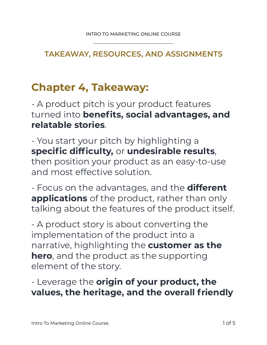#### **TAKEAWAY, RESOURCES, AND ASSIGNMENTS**

# **Chapter 4, Takeaway:**

- A product pitch is your product features turned into **benefits, social advantages, and relatable stories**.

#### - You start your pitch by highlighting a **specific difficulty,** or **undesirable results**,

then position your product as an easy-to-use and most effective solution.

- Focus on the advantages, and the **different applications** of the product, rather than only talking about the features of the product itself.

- A product story is about converting the implementation of the product into a narrative, highlighting the **customer as the hero**, and the product as the supporting element of the story.

### - Leverage the **origin of your product, the values, the heritage, and the overall friendly**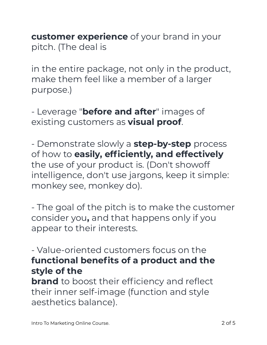**customer experience** of your brand in your pitch. (The deal is

in the entire package, not only in the product, make them feel like a member of a larger purpose.)

- Leverage "**before and after**" images of existing customers as **visual proof**.

- Demonstrate slowly a **step-by-step** process of how to **easily, efficiently, and effectively**  the use of your product is. (Don't showoff intelligence, don't use jargons, keep it simple: monkey see, monkey do).

- The goal of the pitch is to make the customer consider you**,** and that happens only if you appear to their interests.

- Value-oriented customers focus on the **functional benefits of a product and the style of the**

**brand** to boost their efficiency and reflect their inner self-image (function and style aesthetics balance).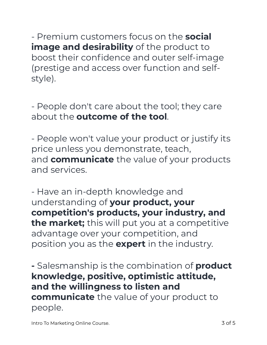- Premium customers focus on the **social image and desirability** of the product to boost their confidence and outer self-image (prestige and access over function and selfstyle).

- People don't care about the tool; they care about the **outcome of the tool**.

- People won't value your product or justify its price unless you demonstrate, teach, and **communicate** the value of your products and services.

- Have an in-depth knowledge and understanding of **your product, your competition's products, your industry, and the market;** this will put you at a competitive advantage over your competition, and position you as the **expert** in the industry.

**-** Salesmanship is the combination of **product knowledge, positive, optimistic attitude, and the willingness to listen and communicate** the value of your product to people.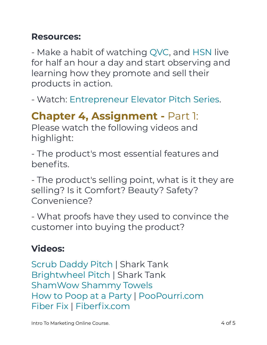#### **Resources:**

- Make a habit of watching QVC, and HSN live for half an hour a day and start observing and learning how they promote and sell their products in action.

- Watch: Entrepreneur Elevator Pitch Series.

## **Chapter 4, Assignment -** Part 1:

Please watch the following videos and highlight:

- The product's most essential features and benefits.

- The product's selling point, what is it they are selling? Is it Comfort? Beauty? Safety? Convenience?

- What proofs have they used to convince the customer into buying the product?

### **Videos:**

Scrub Daddy Pitch | Shark Tank Brightwheel Pitch | Shark Tank ShamWow Shammy Towels How to Poop at a Party | PooPourri.com Fiber Fix | Fiberfix.com